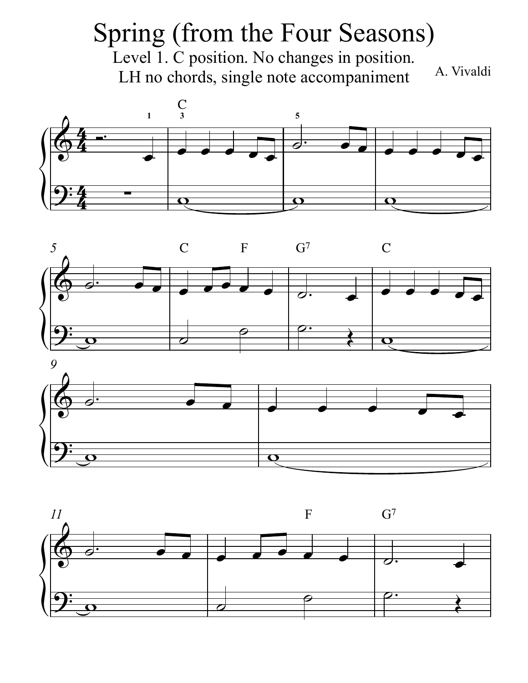## A. Vivaldi Spring (from the Four Seasons) Level 1. C position. No changes in position. LH no chords, single note accompaniment